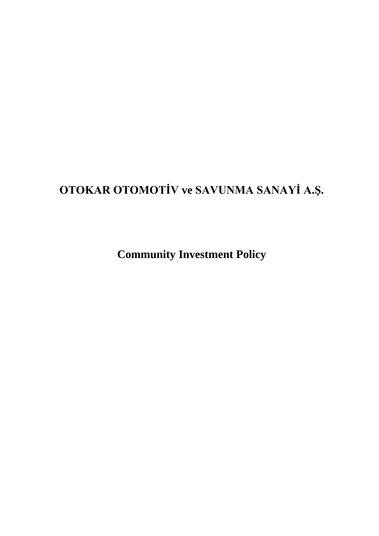# **OTOKAR OTOMOTİV ve SAVUNMA SANAYİ A.Ş.**

**Community Investment Policy**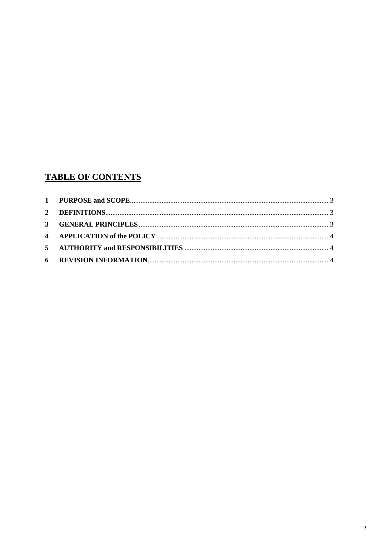# **TABLE OF CONTENTS**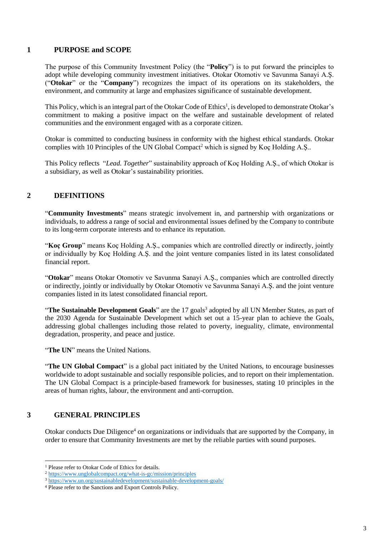#### <span id="page-2-0"></span>**1 PURPOSE and SCOPE**

The purpose of this Community Investment Policy (the "**Policy**") is to put forward the principles to adopt while developing community investment initiatives. Otokar Otomotiv ve Savunma Sanayi A.Ş. ("**Otokar**" or the "**Company**") recognizes the impact of its operations on its stakeholders, the environment, and community at large and emphasizes significance of sustainable development.

This Policy, which is an integral part of the Otokar Code of Ethics<sup>1</sup>, is developed to demonstrate Otokar's commitment to making a positive impact on the welfare and sustainable development of related communities and the environment engaged with as a corporate citizen.

Otokar is committed to conducting business in conformity with the highest ethical standards. Otokar complies with 10 Principles of the UN Global Compact<sup>2</sup> which is signed by Koç Holding A.S..

This Policy reflects "*Lead. Together*" sustainability approach of Koç Holding A.Ş., of which Otokar is a subsidiary, as well as Otokar's sustainability priorities.

#### <span id="page-2-1"></span>**2 DEFINITIONS**

"**Community Investments**" means strategic involvement in, and partnership with organizations or individuals, to address a range of social and environmental issues defined by the Company to contribute to its long-term corporate interests and to enhance its reputation.

"**Koç Group**" means Koç Holding A.Ş., companies which are controlled directly or indirectly, jointly or individually by Koç Holding A.Ş. and the joint venture companies listed in its latest consolidated financial report.

"**Otokar**" means Otokar Otomotiv ve Savunma Sanayi A.Ş., companies which are controlled directly or indirectly, jointly or individually by Otokar Otomotiv ve Savunma Sanayi A.Ş. and the joint venture companies listed in its latest consolidated financial report.

"The Sustainable Development Goals" are the 17 goals<sup>3</sup> adopted by all UN Member States, as part of the 2030 Agenda for Sustainable Development which set out a 15-year plan to achieve the Goals, addressing global challenges including those related to poverty, ineguality, climate, environmental degradation, prosperity, and peace and justice.

"**The UN**" means the United Nations.

"**The UN Global Compact**" is a global pact initiated by the United Nations, to encourage businesses worldwide to adopt sustainable and socially responsible policies, and to report on their implementation. The UN Global Compact is a principle-based framework for businesses, stating 10 principles in the areas of human rights, labour, the environment and anti-corruption.

#### <span id="page-2-2"></span>**3 GENERAL PRINCIPLES**

 $\overline{\phantom{a}}$ 

Otokar conducts Due Diligence<sup>4</sup> on organizations or individuals that are supported by the Company, in order to ensure that Community Investments are met by the reliable parties with sound purposes.

<sup>&</sup>lt;sup>1</sup> Please refer to Otokar Code of Ethics for details.

<sup>2</sup> <https://www.unglobalcompact.org/what-is-gc/mission/principles>

<sup>3</sup> <https://www.un.org/sustainabledevelopment/sustainable-development-goals/>

<sup>4</sup> Please refer to the Sanctions and Export Controls Policy.